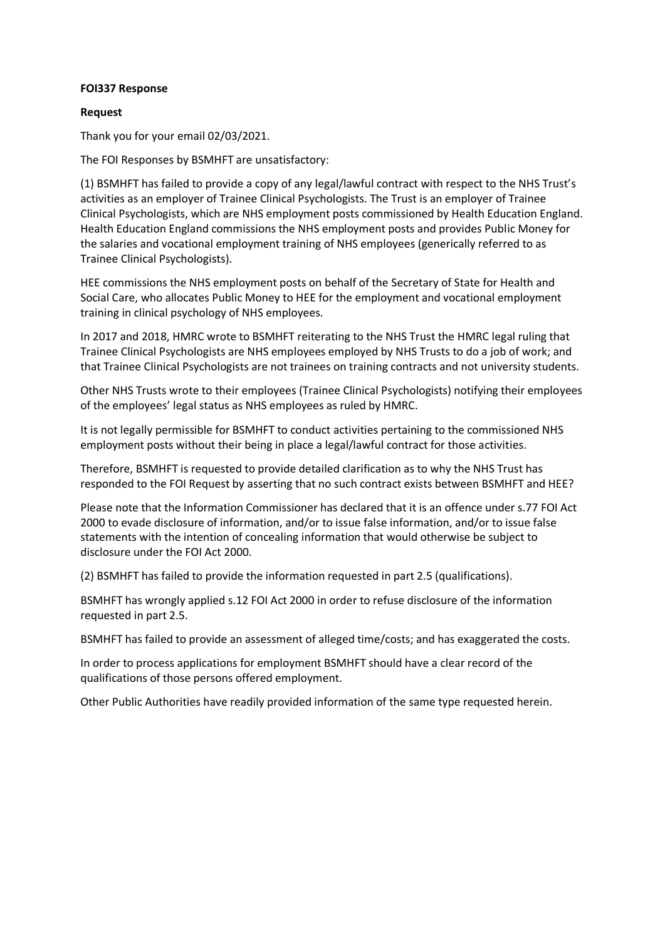## **FOI337 Response**

## **Request**

Thank you for your email 02/03/2021.

The FOI Responses by BSMHFT are unsatisfactory:

(1) BSMHFT has failed to provide a copy of any legal/lawful contract with respect to the NHS Trust's activities as an employer of Trainee Clinical Psychologists. The Trust is an employer of Trainee Clinical Psychologists, which are NHS employment posts commissioned by Health Education England. Health Education England commissions the NHS employment posts and provides Public Money for the salaries and vocational employment training of NHS employees (generically referred to as Trainee Clinical Psychologists).

HEE commissions the NHS employment posts on behalf of the Secretary of State for Health and Social Care, who allocates Public Money to HEE for the employment and vocational employment training in clinical psychology of NHS employees.

In 2017 and 2018, HMRC wrote to BSMHFT reiterating to the NHS Trust the HMRC legal ruling that Trainee Clinical Psychologists are NHS employees employed by NHS Trusts to do a job of work; and that Trainee Clinical Psychologists are not trainees on training contracts and not university students.

Other NHS Trusts wrote to their employees (Trainee Clinical Psychologists) notifying their employees of the employees' legal status as NHS employees as ruled by HMRC.

It is not legally permissible for BSMHFT to conduct activities pertaining to the commissioned NHS employment posts without their being in place a legal/lawful contract for those activities.

Therefore, BSMHFT is requested to provide detailed clarification as to why the NHS Trust has responded to the FOI Request by asserting that no such contract exists between BSMHFT and HEE?

Please note that the Information Commissioner has declared that it is an offence under s.77 FOI Act 2000 to evade disclosure of information, and/or to issue false information, and/or to issue false statements with the intention of concealing information that would otherwise be subject to disclosure under the FOI Act 2000.

(2) BSMHFT has failed to provide the information requested in part 2.5 (qualifications).

BSMHFT has wrongly applied s.12 FOI Act 2000 in order to refuse disclosure of the information requested in part 2.5.

BSMHFT has failed to provide an assessment of alleged time/costs; and has exaggerated the costs.

In order to process applications for employment BSMHFT should have a clear record of the qualifications of those persons offered employment.

Other Public Authorities have readily provided information of the same type requested herein.